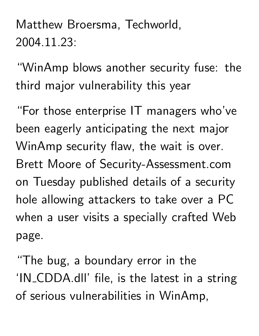Matthew Broersma, Techworld, 2004.11.23:

"WinAmp blows another security fuse: the third major vulnerability this year

"For those enterprise IT managers who've been eagerly anticipating the next major WinAmp security flaw, the wait is over. Brett Moore of Security-Assessment.com on Tuesday published details of a security hole allowing attackers to take over a PC when a user visits a specially crafted Web page.

"The bug, a boundary error in the 'IN CDDA.dll' file, is the latest in a string of serious vulnerabilities in WinAmp,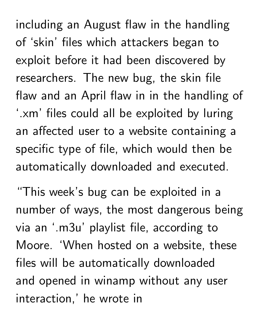including an August flaw in the handling of 'skin' files which attackers began to exploit before it had been discovered by researchers. The new bug, the skin file flaw and an April flaw in in the handling of '.xm' files could all be exploited by luring an affected user to a website containing a specific type of file, which would then be automatically downloaded and executed.

"This week's bug can be exploited in a number of ways, the most dangerous being via an '.m3u' playlist file, according to Moore. 'When hosted on a website, these files will be automatically downloaded and opened in winamp without any user interaction,' he wrote in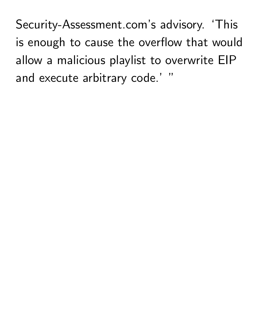Security-Assessment.com's advisory. 'This is enough to cause the overflow that would allow a malicious playlist to overwrite EIP and execute arbitrary code.' "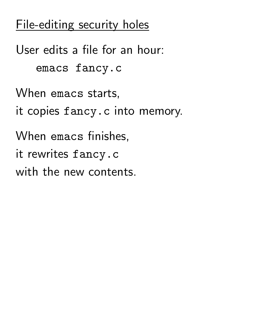## File-editing security holes

User edits a file for an hour: emacs fancy.c When emacs starts, it copies fancy.c into memory. When emacs finishes, it rewrites fancy.c with the new contents.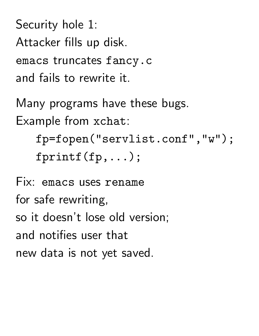Security hole 1: Attacker fills up disk. emacs truncates fancy.c and fails to rewrite it.

Many programs have these bugs. Example from xchat:

fp=fopen("servlist.conf","w"); fprintf(fp,...);

Fix: emacs uses rename for safe rewriting, so it doesn't lose old version; and notifies user that new data is not yet saved.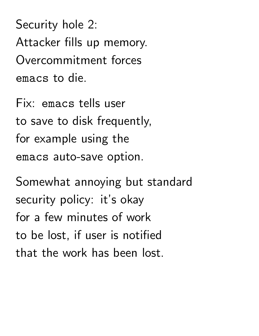Security hole 2: Attacker fills up memory. Overcommitment forces emacs to die.

Fix: emacs tells user to save to disk frequently, for example using the emacs auto-save option.

Somewhat annoying but standard security policy: it's okay for a few minutes of work to be lost, if user is notified that the work has been lost.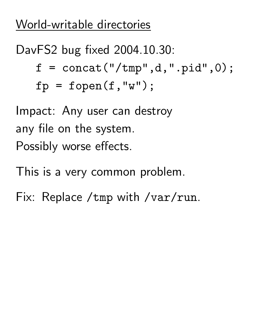### World-writable directories

# DavFS2 bug fixed 2004.10.30:  $f =$  concat("/tmp",d,".pid",0);  $fp = fopen(f, "w")$ ;

Impact: Any user can destroy any file on the system. Possibly worse effects.

This is a very common problem.

Fix: Replace /tmp with /var/run.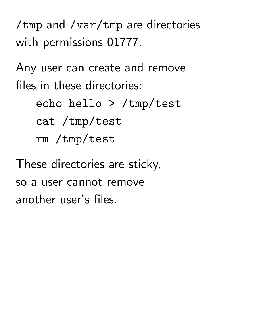/tmp and /var/tmp are directories with permissions 01777.

Any user can create and remove files in these directories:

> echo hello > /tmp/test cat /tmp/test rm /tmp/test

These directories are sticky, so a user cannot remove another user's files.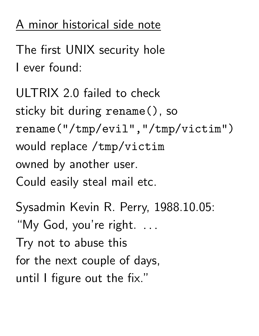## A minor historical side note

The first UNIX security hole I ever found:

```
ULTRIX 2.0 failed to check
sticky bit during rename(), so
rename("/tmp/evil","/tmp/victim")
would replace /tmp/victim
owned by another user.
Could easily steal mail etc.
```
Sysadmin Kevin R. Perry, 1988.10.05: "My God, you're right. .. and the contract of the contract of the Try not to abuse this for the next couple of days, until I figure out the fix."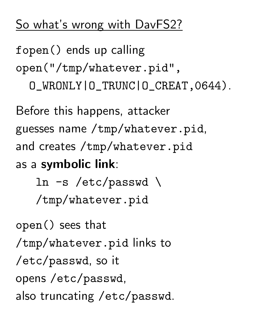#### So what's wrong with DavFS2?

fopen() ends up calling open("/tmp/whatever.pid", O\_WRONLY|O\_TRUNC|O\_CREAT,0644).

Before this happens, attacker guesses name /tmp/whatever.pid, and creates /tmp/whatever.pid as a symbolic link:

> ln -s /etc/passwd \ /tmp/whatever.pid

open() sees that /tmp/whatever.pid links to /etc/passwd, so it opens /etc/passwd, also truncating /etc/passwd.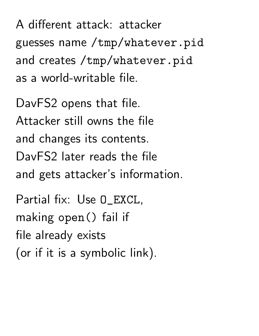A different attack: attacker guesses name /tmp/whatever.pid and creates /tmp/whatever.pid as a world-writable file.

DavFS2 opens that file. Attacker still owns the file and changes its contents. DavFS2 later reads the file and gets attacker's information.

Partial fix: Use O\_EXCL, making open() fail if file already exists (or if it is a symbolic link).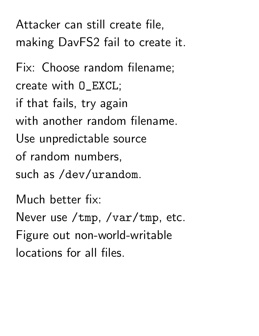Attacker can still create file, making DavFS2 fail to create it.

Fix: Choose random filename; create with O\_EXCL; if that fails, try again with another random filename. Use unpredictable source of random numbers, such as /dev/urandom.

Much better fix: Never use /tmp, /var/tmp, etc. Figure out non-world-writable locations for all files.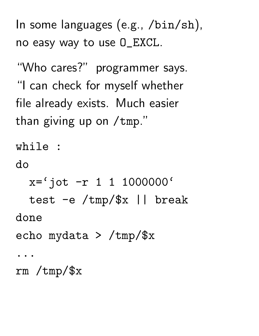In some languages (e.g., /bin/sh), no easy way to use O\_EXCL.

"Who cares?" programmer says. "I can check for myself whether file already exists. Much easier than giving up on /tmp."

while :

do

 $x = 'jot -r 1 1 1000000'$ test -e /tmp/\$x || break done echo mydata > /tmp/\$x ...

rm /tmp/\$x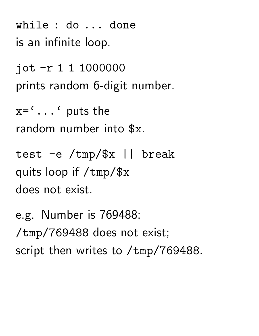while : do ... done is an infinite loop.

jot -r 1 1 1000000 prints random 6-digit number.

 $x = ' \dots'$  puts the random number into \$x.

test -e /tmp/\$x || break quits loop if /tmp/\$x does not exist.

e.g. Number is 769488; /tmp/769488 does not exist; script then writes to /tmp/769488.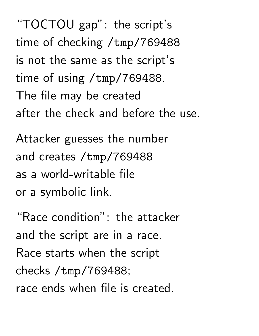"TOCTOU gap": the script's time of checking /tmp/769488 is not the same as the script's time of using /tmp/769488. The file may be created after the check and before the use.

Attacker guesses the number and creates /tmp/769488 as a world-writable file or a symbolic link.

"Race condition": the attacker and the script are in a race. Race starts when the script checks /tmp/769488; race ends when file is created.